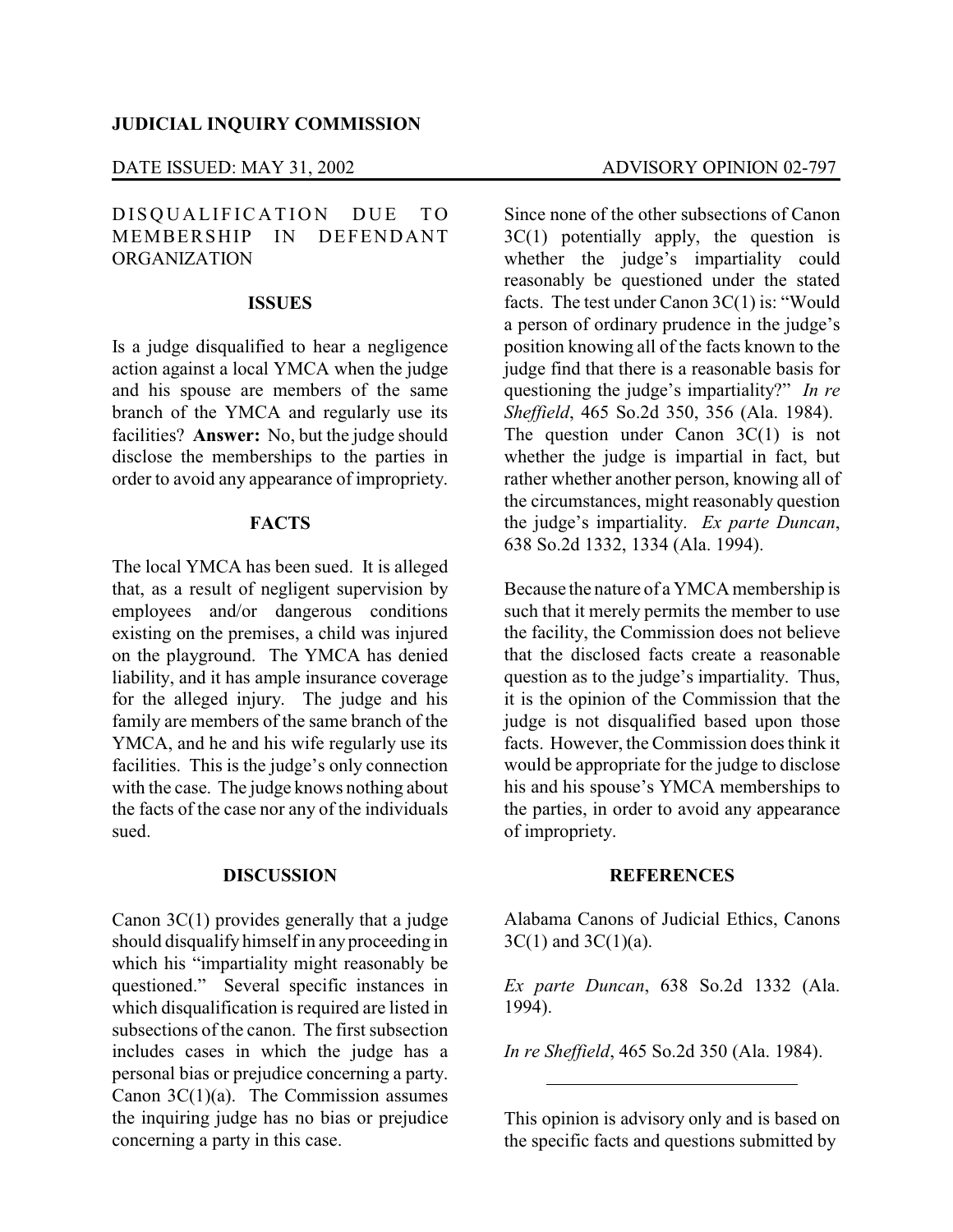### DATE ISSUED: MAY 31, 2002 ADVISORY OPINION 02-797

# DISQUALIFICATION DUE TO MEMBERSHIP IN DEFENDANT ORGANIZATION

## **ISSUES**

Is a judge disqualified to hear a negligence action against a local YMCA when the judge and his spouse are members of the same branch of the YMCA and regularly use its facilities? **Answer:** No, but the judge should disclose the memberships to the parties in order to avoid any appearance of impropriety.

## **FACTS**

The local YMCA has been sued. It is alleged that, as a result of negligent supervision by employees and/or dangerous conditions existing on the premises, a child was injured on the playground. The YMCA has denied liability, and it has ample insurance coverage for the alleged injury. The judge and his family are members of the same branch of the YMCA, and he and his wife regularly use its facilities. This is the judge's only connection with the case. The judge knows nothing about the facts of the case nor any of the individuals sued.

## **DISCUSSION**

Canon 3C(1) provides generally that a judge should disqualify himself in anyproceeding in which his "impartiality might reasonably be questioned." Several specific instances in which disqualification is required are listed in subsections of the canon. The first subsection includes cases in which the judge has a personal bias or prejudice concerning a party. Canon 3C(1)(a). The Commission assumes the inquiring judge has no bias or prejudice concerning a party in this case.

Since none of the other subsections of Canon  $3C(1)$  potentially apply, the question is whether the judge's impartiality could reasonably be questioned under the stated facts. The test under Canon 3C(1) is: "Would a person of ordinary prudence in the judge's position knowing all of the facts known to the judge find that there is a reasonable basis for questioning the judge's impartiality?" *In re Sheffield*, 465 So.2d 350, 356 (Ala. 1984). The question under Canon 3C(1) is not whether the judge is impartial in fact, but rather whether another person, knowing all of the circumstances, might reasonably question the judge's impartiality. *Ex parte Duncan*, 638 So.2d 1332, 1334 (Ala. 1994).

Because the nature of a YMCA membership is such that it merely permits the member to use the facility, the Commission does not believe that the disclosed facts create a reasonable question as to the judge's impartiality. Thus, it is the opinion of the Commission that the judge is not disqualified based upon those facts. However, the Commission does think it would be appropriate for the judge to disclose his and his spouse's YMCA memberships to the parties, in order to avoid any appearance of impropriety.

### **REFERENCES**

Alabama Canons of Judicial Ethics, Canons  $3C(1)$  and  $3C(1)(a)$ .

*Ex parte Duncan*, 638 So.2d 1332 (Ala. 1994).

*In re Sheffield*, 465 So.2d 350 (Ala. 1984).

This opinion is advisory only and is based on the specific facts and questions submitted by